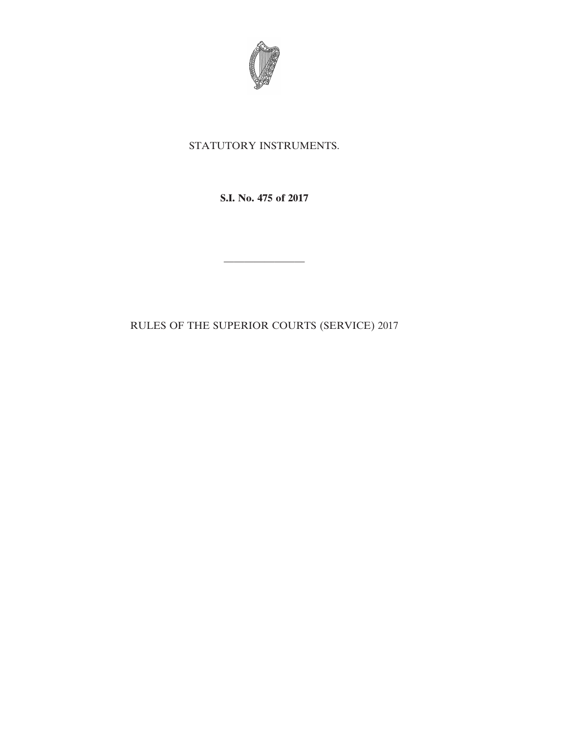

# STATUTORY INSTRUMENTS.

**S.I. No. 475 of 2017**

————————

RULES OF THE SUPERIOR COURTS (SERVICE) 2017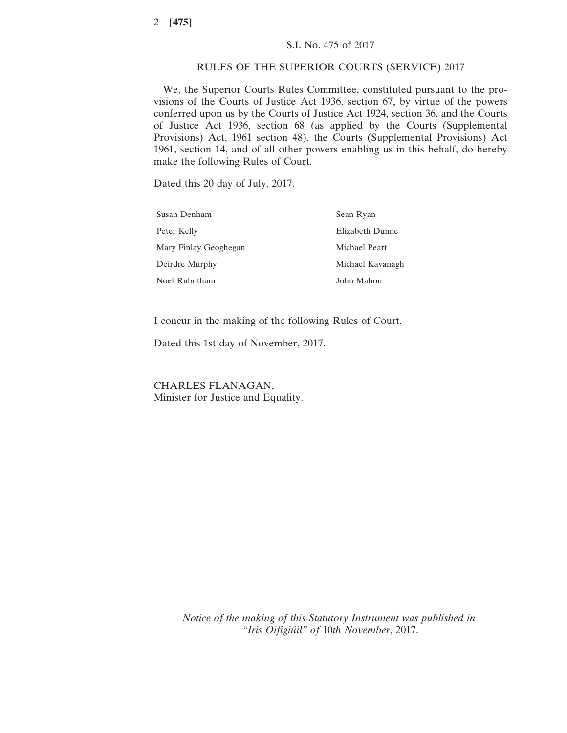### S.I. No. 475 of 2017

### RULES OF THE SUPERIOR COURTS (SERVICE) 2017

We, the Superior Courts Rules Committee, constituted pursuant to the provisions of the Courts of Justice Act 1936, section 67, by virtue of the powers conferred upon us by the Courts of Justice Act 1924, section 36, and the Courts of Justice Act 1936, section 68 (as applied by the Courts (Supplemental Provisions) Act, 1961 section 48), the Courts (Supplemental Provisions) Act 1961, section 14, and of all other powers enabling us in this behalf, do hereby make the following Rules of Court.

Dated this 20 day of July, 2017.

| Susan Denham          | Sean Ryan        |
|-----------------------|------------------|
| Peter Kelly           | Elizabeth Dunne  |
| Mary Finlay Geoghegan | Michael Peart    |
| Deirdre Murphy        | Michael Kavanagh |
| Noel Rubotham         | John Mahon       |

I concur in the making of the following Rules of Court.

Dated this 1st day of November, 2017.

CHARLES FLANAGAN, Minister for Justice and Equality.

> *Notice of the making of this Statutory Instrument was published in "Iris Oifigiúil" of* 10*th November*, 2017.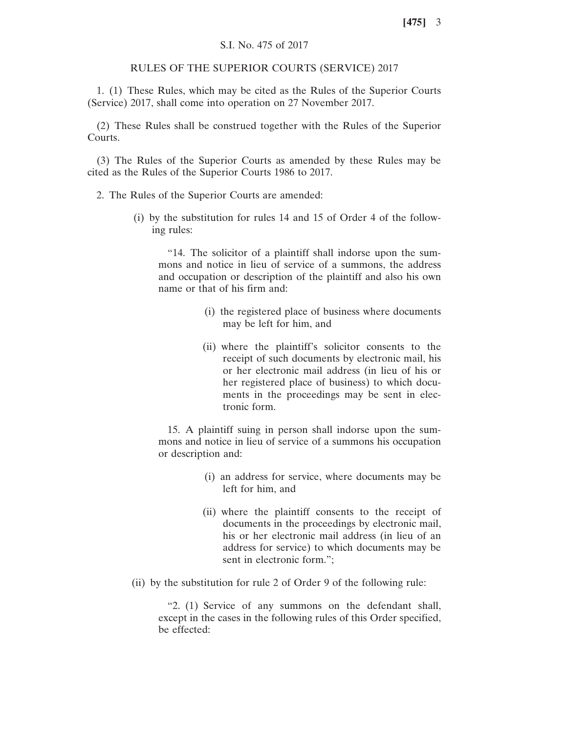### S.I. No. 475 of 2017

#### RULES OF THE SUPERIOR COURTS (SERVICE) 2017

1. (1) These Rules, which may be cited as the Rules of the Superior Courts (Service) 2017, shall come into operation on 27 November 2017.

(2) These Rules shall be construed together with the Rules of the Superior Courts.

(3) The Rules of the Superior Courts as amended by these Rules may be cited as the Rules of the Superior Courts 1986 to 2017.

2. The Rules of the Superior Courts are amended:

(i) by the substitution for rules 14 and 15 of Order 4 of the following rules:

"14. The solicitor of a plaintiff shall indorse upon the summons and notice in lieu of service of a summons, the address and occupation or description of the plaintiff and also his own name or that of his firm and:

- (i) the registered place of business where documents may be left for him, and
- (ii) where the plaintiff's solicitor consents to the receipt of such documents by electronic mail, his or her electronic mail address (in lieu of his or her registered place of business) to which documents in the proceedings may be sent in electronic form.

15. A plaintiff suing in person shall indorse upon the summons and notice in lieu of service of a summons his occupation or description and:

- (i) an address for service, where documents may be left for him, and
- (ii) where the plaintiff consents to the receipt of documents in the proceedings by electronic mail, his or her electronic mail address (in lieu of an address for service) to which documents may be sent in electronic form.";
- (ii) by the substitution for rule 2 of Order 9 of the following rule:

"2. (1) Service of any summons on the defendant shall, except in the cases in the following rules of this Order specified, be effected: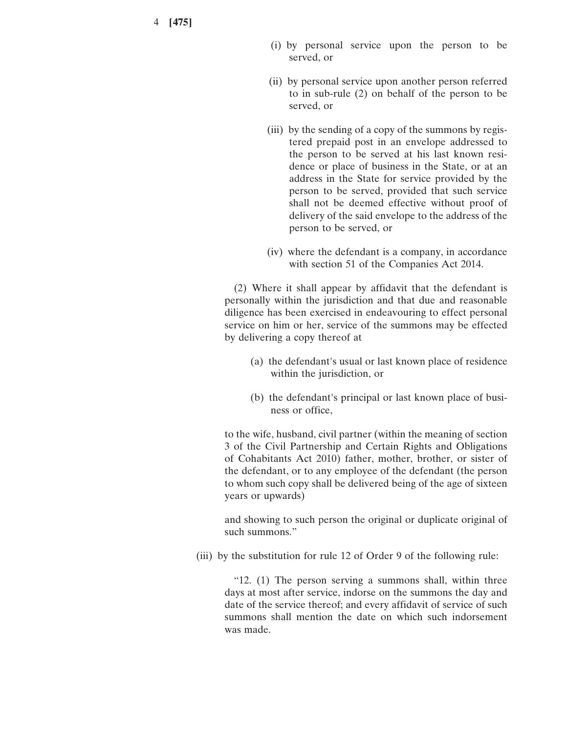- (i) by personal service upon the person to be served, or
- (ii) by personal service upon another person referred to in sub-rule (2) on behalf of the person to be served, or
- (iii) by the sending of a copy of the summons by registered prepaid post in an envelope addressed to the person to be served at his last known residence or place of business in the State, or at an address in the State for service provided by the person to be served, provided that such service shall not be deemed effective without proof of delivery of the said envelope to the address of the person to be served, or
- (iv) where the defendant is a company, in accordance with section 51 of the Companies Act 2014.

(2) Where it shall appear by affidavit that the defendant is personally within the jurisdiction and that due and reasonable diligence has been exercised in endeavouring to effect personal service on him or her, service of the summons may be effected by delivering a copy thereof at

- (a) the defendant's usual or last known place of residence within the jurisdiction, or
- (b) the defendant's principal or last known place of business or office,

to the wife, husband, civil partner (within the meaning of section 3 of the Civil Partnership and Certain Rights and Obligations of Cohabitants Act 2010) father, mother, brother, or sister of the defendant, or to any employee of the defendant (the person to whom such copy shall be delivered being of the age of sixteen years or upwards)

and showing to such person the original or duplicate original of such summons."

(iii) by the substitution for rule 12 of Order 9 of the following rule:

"12. (1) The person serving a summons shall, within three days at most after service, indorse on the summons the day and date of the service thereof; and every affidavit of service of such summons shall mention the date on which such indorsement was made.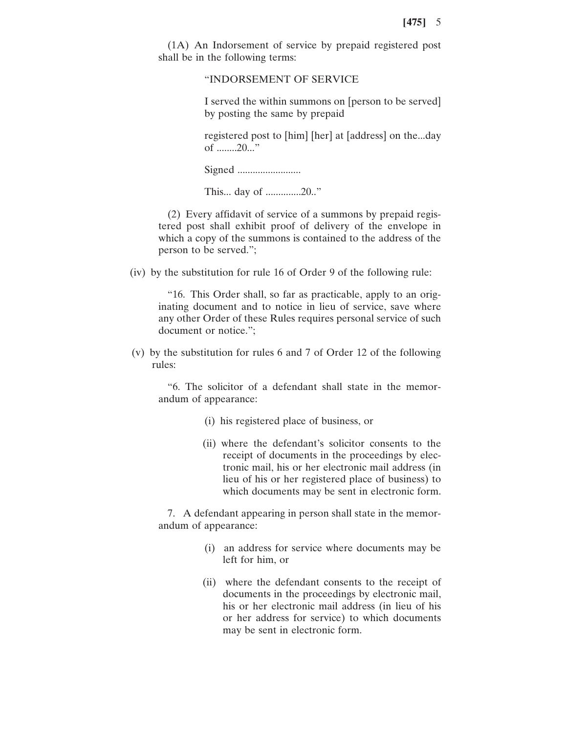(1A) An Indorsement of service by prepaid registered post shall be in the following terms:

### "INDORSEMENT OF SERVICE

I served the within summons on [person to be served] by posting the same by prepaid

registered post to [him] [her] at [address] on the...day of ........20..."

Signed .........................

This... day of ..............20.."

(2) Every affidavit of service of a summons by prepaid registered post shall exhibit proof of delivery of the envelope in which a copy of the summons is contained to the address of the person to be served.";

(iv) by the substitution for rule 16 of Order 9 of the following rule:

"16. This Order shall, so far as practicable, apply to an originating document and to notice in lieu of service, save where any other Order of these Rules requires personal service of such document or notice.";

(v) by the substitution for rules 6 and 7 of Order 12 of the following rules:

"6. The solicitor of a defendant shall state in the memorandum of appearance:

- (i) his registered place of business, or
- (ii) where the defendant's solicitor consents to the receipt of documents in the proceedings by electronic mail, his or her electronic mail address (in lieu of his or her registered place of business) to which documents may be sent in electronic form.

7. A defendant appearing in person shall state in the memorandum of appearance:

- (i) an address for service where documents may be left for him, or
- (ii) where the defendant consents to the receipt of documents in the proceedings by electronic mail, his or her electronic mail address (in lieu of his or her address for service) to which documents may be sent in electronic form.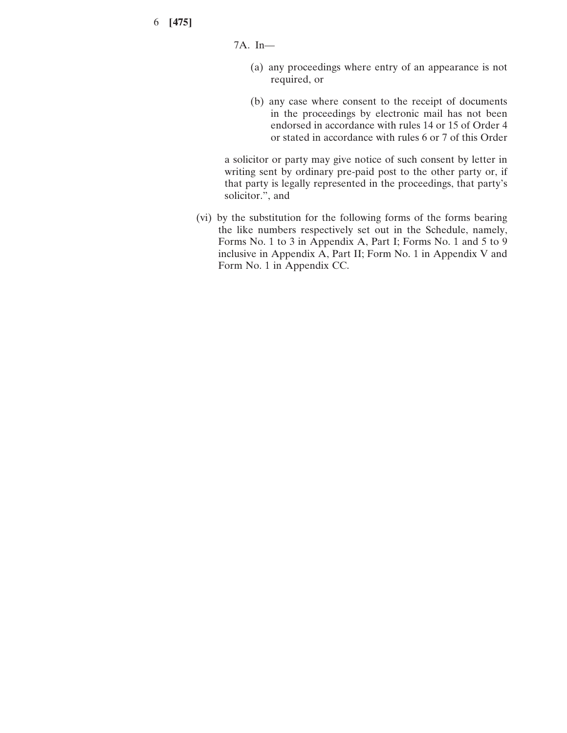7A. In—

- (a) any proceedings where entry of an appearance is not required, or
- (b) any case where consent to the receipt of documents in the proceedings by electronic mail has not been endorsed in accordance with rules 14 or 15 of Order 4 or stated in accordance with rules 6 or 7 of this Order

a solicitor or party may give notice of such consent by letter in writing sent by ordinary pre-paid post to the other party or, if that party is legally represented in the proceedings, that party's solicitor.", and

(vi) by the substitution for the following forms of the forms bearing the like numbers respectively set out in the Schedule, namely, Forms No. 1 to 3 in Appendix A, Part I; Forms No. 1 and 5 to 9 inclusive in Appendix A, Part II; Form No. 1 in Appendix V and Form No. 1 in Appendix CC.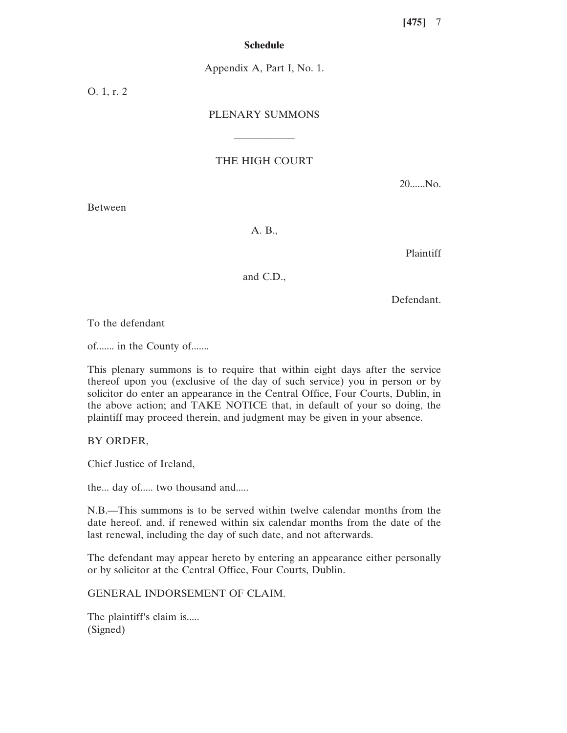### **Schedule**

Appendix A, Part I, No. 1.

O. 1, r. 2

## PLENARY SUMMONS

## THE HIGH COURT

——————

20......No.

Between

A. B.,

Plaintiff

and C.D.,

Defendant.

To the defendant

of....... in the County of.......

This plenary summons is to require that within eight days after the service thereof upon you (exclusive of the day of such service) you in person or by solicitor do enter an appearance in the Central Office, Four Courts, Dublin, in the above action; and TAKE NOTICE that, in default of your so doing, the plaintiff may proceed therein, and judgment may be given in your absence.

BY ORDER,

Chief Justice of Ireland,

the... day of..... two thousand and.....

N.B.—This summons is to be served within twelve calendar months from the date hereof, and, if renewed within six calendar months from the date of the last renewal, including the day of such date, and not afterwards.

The defendant may appear hereto by entering an appearance either personally or by solicitor at the Central Office, Four Courts, Dublin.

GENERAL INDORSEMENT OF CLAIM.

The plaintiff's claim is..... (Signed)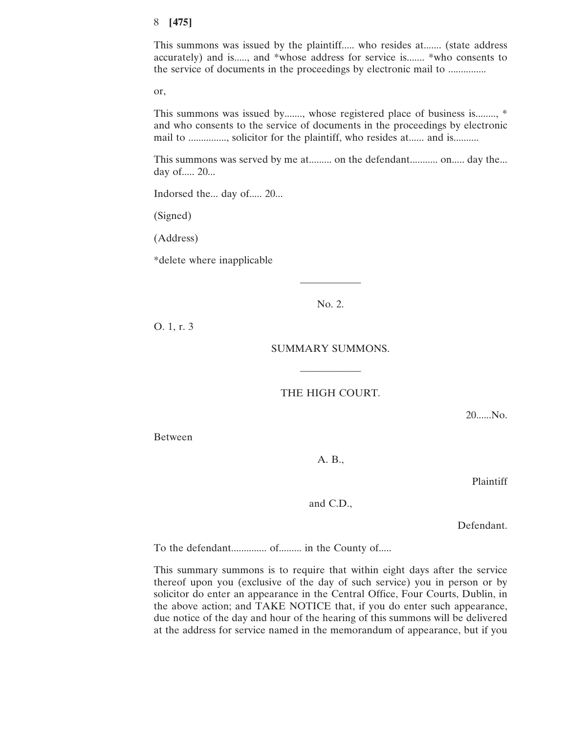This summons was issued by the plaintiff..... who resides at....... (state address accurately) and is....., and \*whose address for service is....... \*who consents to the service of documents in the proceedings by electronic mail to ...............

or,

This summons was issued by......., whose registered place of business is........, \* and who consents to the service of documents in the proceedings by electronic mail to .............., solicitor for the plaintiff, who resides at...... and is..........

This summons was served by me at......... on the defendant........... on..... day the... day of..... 20...

Indorsed the... day of..... 20...

(Signed)

(Address)

\*delete where inapplicable

No. 2.

——————

O. 1, r. 3

SUMMARY SUMMONS.

THE HIGH COURT.

——————

20......No.

Between

A. B.,

Plaintiff

and C.D.,

Defendant.

To the defendant.............. of......... in the County of.....

This summary summons is to require that within eight days after the service thereof upon you (exclusive of the day of such service) you in person or by solicitor do enter an appearance in the Central Office, Four Courts, Dublin, in the above action; and TAKE NOTICE that, if you do enter such appearance, due notice of the day and hour of the hearing of this summons will be delivered at the address for service named in the memorandum of appearance, but if you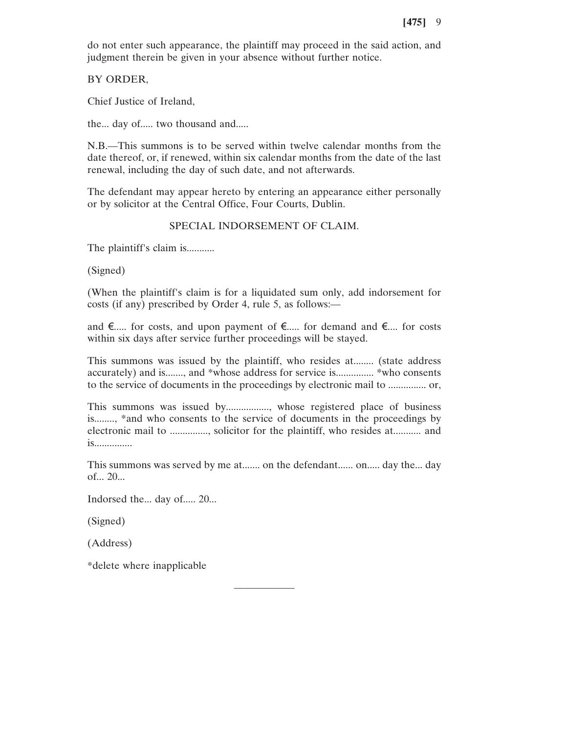do not enter such appearance, the plaintiff may proceed in the said action, and judgment therein be given in your absence without further notice.

BY ORDER,

Chief Justice of Ireland,

the... day of..... two thousand and.....

N.B.—This summons is to be served within twelve calendar months from the date thereof, or, if renewed, within six calendar months from the date of the last renewal, including the day of such date, and not afterwards.

The defendant may appear hereto by entering an appearance either personally or by solicitor at the Central Office, Four Courts, Dublin.

## SPECIAL INDORSEMENT OF CLAIM.

The plaintiff's claim is...........

(Signed)

(When the plaintiff's claim is for a liquidated sum only, add indorsement for costs (if any) prescribed by Order 4, rule 5, as follows:—

and  $\epsilon$ ..... for costs, and upon payment of  $\epsilon$ ..... for demand and  $\epsilon$ .... for costs within six days after service further proceedings will be stayed.

This summons was issued by the plaintiff, who resides at........ (state address accurately) and is......., and \*whose address for service is............... \*who consents to the service of documents in the proceedings by electronic mail to ............... or,

This summons was issued by................., whose registered place of business is........, \*and who consents to the service of documents in the proceedings by electronic mail to ..............., solicitor for the plaintiff, who resides at........... and is...............

This summons was served by me at....... on the defendant...... on..... day the... day of... 20...

——————

Indorsed the... day of..... 20...

(Signed)

(Address)

\*delete where inapplicable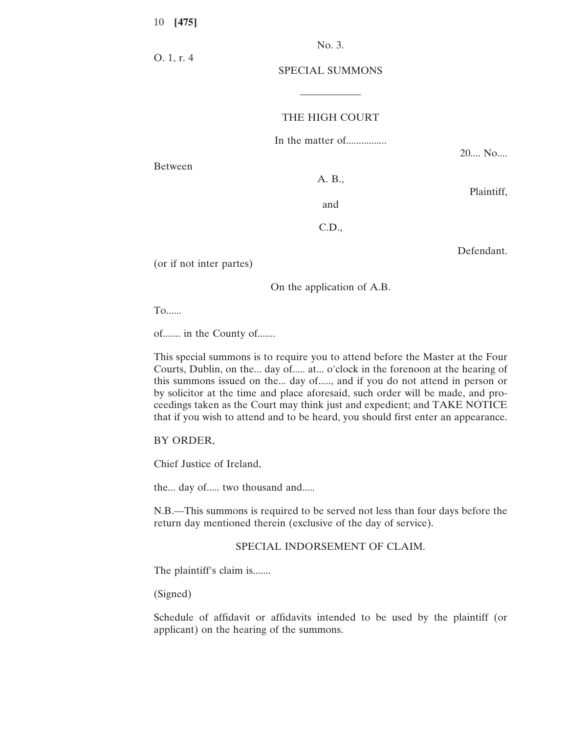No. 3.

SPECIAL SUMMONS

## THE HIGH COURT

——————

In the matter of................

20.... No....

Between

A. B.,

Plaintiff,

and

C.D.,

Defendant.

(or if not inter partes)

On the application of A.B.

To......

of....... in the County of.......

This special summons is to require you to attend before the Master at the Four Courts, Dublin, on the... day of..... at... o'clock in the forenoon at the hearing of this summons issued on the... day of....., and if you do not attend in person or by solicitor at the time and place aforesaid, such order will be made, and proceedings taken as the Court may think just and expedient; and TAKE NOTICE that if you wish to attend and to be heard, you should first enter an appearance.

BY ORDER,

Chief Justice of Ireland,

the... day of..... two thousand and.....

N.B.—This summons is required to be served not less than four days before the return day mentioned therein (exclusive of the day of service).

### SPECIAL INDORSEMENT OF CLAIM.

The plaintiff's claim is.......

(Signed)

Schedule of affidavit or affidavits intended to be used by the plaintiff (or applicant) on the hearing of the summons.

O. 1, r. 4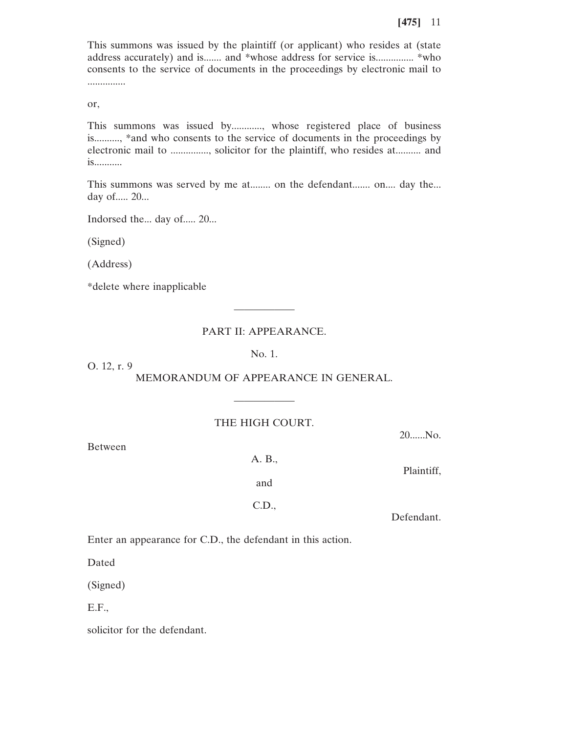This summons was issued by the plaintiff (or applicant) who resides at (state address accurately) and is....... and \*whose address for service is............... \*who consents to the service of documents in the proceedings by electronic mail to ...............

or,

This summons was issued by............, whose registered place of business is.........., \*and who consents to the service of documents in the proceedings by electronic mail to ..............., solicitor for the plaintiff, who resides at.......... and is...........

This summons was served by me at........ on the defendant....... on.... day the... day of..... 20...

Indorsed the... day of..... 20...

(Signed)

(Address)

\*delete where inapplicable

## PART II: APPEARANCE.

——————

No. 1.

O. 12, r. 9

MEMORANDUM OF APPEARANCE IN GENERAL.

## THE HIGH COURT.

——————

20......No.

Between

A. B., Plaintiff, and

C.D.,

Defendant.

Enter an appearance for C.D., the defendant in this action.

Dated

(Signed)

E.F.,

solicitor for the defendant.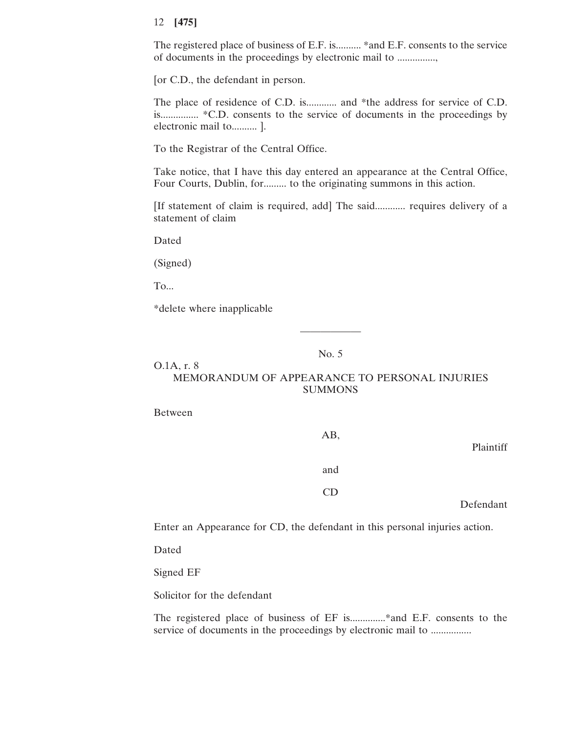The registered place of business of E.F. is.......... \*and E.F. consents to the service of documents in the proceedings by electronic mail to ...............,

[or C.D., the defendant in person.

The place of residence of C.D. is............ and \*the address for service of C.D. is............... \*C.D. consents to the service of documents in the proceedings by electronic mail to.......... ].

To the Registrar of the Central Office.

Take notice, that I have this day entered an appearance at the Central Office, Four Courts, Dublin, for......... to the originating summons in this action.

[If statement of claim is required, add] The said............ requires delivery of a statement of claim

Dated

(Signed)

To...

\*delete where inapplicable

No. 5

——————

O.1A, r. 8

MEMORANDUM OF APPEARANCE TO PERSONAL INJURIES SUMMONS

Between

AB,

Plaintiff

and

CD

Defendant

Enter an Appearance for CD, the defendant in this personal injuries action.

Dated

Signed EF

Solicitor for the defendant

The registered place of business of EF is..............\*and E.F. consents to the service of documents in the proceedings by electronic mail to ...................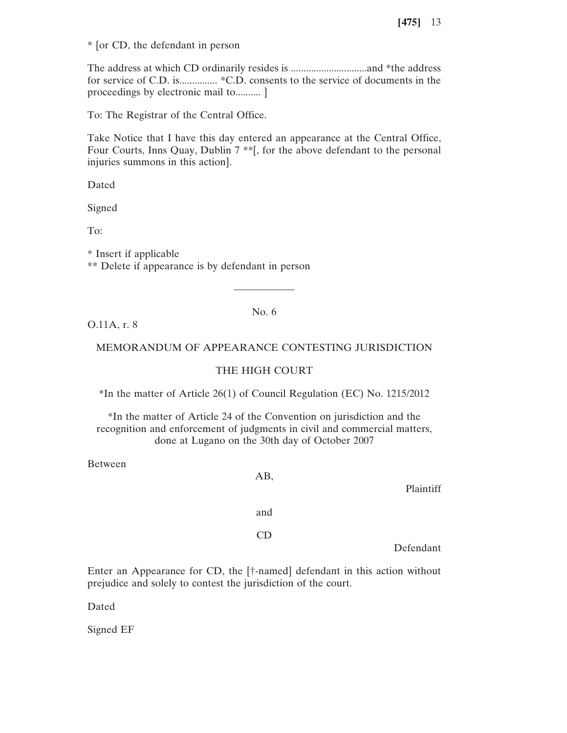\* [or CD, the defendant in person

The address at which CD ordinarily resides is ..............................and \*the address for service of C.D. is............... \*C.D. consents to the service of documents in the proceedings by electronic mail to.......... ]

To: The Registrar of the Central Office.

Take Notice that I have this day entered an appearance at the Central Office, Four Courts, Inns Quay, Dublin 7<sup>\*\*</sup>, for the above defendant to the personal injuries summons in this action].

Dated

Signed

To:

\* Insert if applicable

\*\* Delete if appearance is by defendant in person

## No. 6

——————

### O.11A, r. 8

## MEMORANDUM OF APPEARANCE CONTESTING JURISDICTION

## THE HIGH COURT

\*In the matter of Article 26(1) of Council Regulation (EC) No. 1215/2012

\*In the matter of Article 24 of the Convention on jurisdiction and the recognition and enforcement of judgments in civil and commercial matters, done at Lugano on the 30th day of October 2007

Between

| Plaintiff | AB, |
|-----------|-----|
|           | and |
|           | CD  |
| Defendant |     |

Enter an Appearance for CD, the [†-named] defendant in this action without prejudice and solely to contest the jurisdiction of the court.

Dated

Signed EF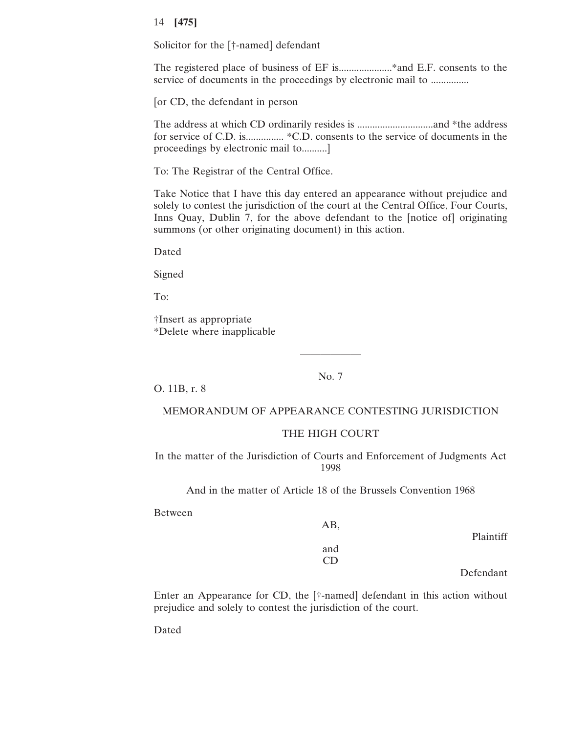Solicitor for the [†-named] defendant

The registered place of business of EF is.....................\*and E.F. consents to the service of documents in the proceedings by electronic mail to ...............

[or CD, the defendant in person

The address at which CD ordinarily resides is ..............................and \*the address for service of C.D. is............... \*C.D. consents to the service of documents in the proceedings by electronic mail to..........]

To: The Registrar of the Central Office.

Take Notice that I have this day entered an appearance without prejudice and solely to contest the jurisdiction of the court at the Central Office, Four Courts, Inns Quay, Dublin 7, for the above defendant to the [notice of] originating summons (or other originating document) in this action.

Dated

Signed

To:

†Insert as appropriate \*Delete where inapplicable

No. 7

——————

O. 11B, r. 8

### MEMORANDUM OF APPEARANCE CONTESTING JURISDICTION

## THE HIGH COURT

In the matter of the Jurisdiction of Courts and Enforcement of Judgments Act 1998

And in the matter of Article 18 of the Brussels Convention 1968

Between

AB, Plaintiff and CD Defendant

Enter an Appearance for CD, the [†-named] defendant in this action without prejudice and solely to contest the jurisdiction of the court.

Dated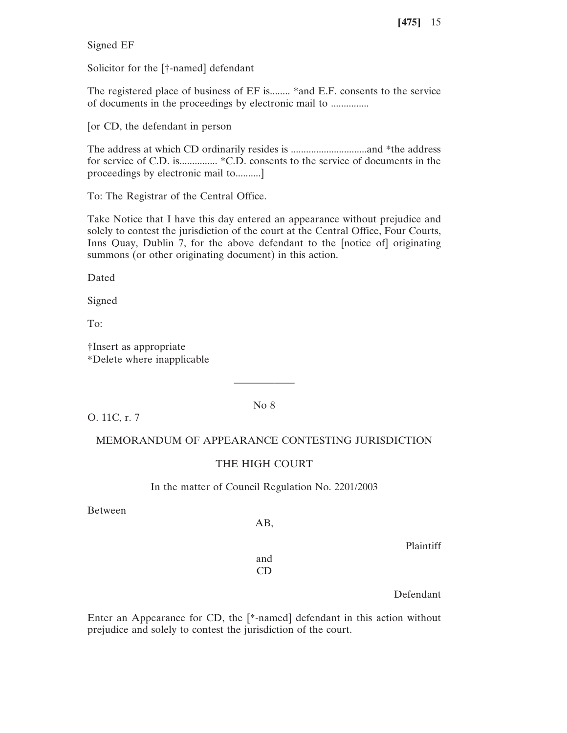Signed EF

Solicitor for the [†-named] defendant

The registered place of business of EF is........ \*and E.F. consents to the service of documents in the proceedings by electronic mail to ...............

[or CD, the defendant in person

The address at which CD ordinarily resides is ..............................and \*the address for service of C.D. is............... \*C.D. consents to the service of documents in the proceedings by electronic mail to..........]

To: The Registrar of the Central Office.

Take Notice that I have this day entered an appearance without prejudice and solely to contest the jurisdiction of the court at the Central Office, Four Courts, Inns Quay, Dublin 7, for the above defendant to the [notice of] originating summons (or other originating document) in this action.

Dated

Signed

To:

†Insert as appropriate \*Delete where inapplicable

No 8

——————

O. 11C, r. 7

## MEMORANDUM OF APPEARANCE CONTESTING JURISDICTION

## THE HIGH COURT

## In the matter of Council Regulation No. 2201/2003

Between

AB,

Plaintiff

and CD

Defendant

Enter an Appearance for CD, the [\*-named] defendant in this action without prejudice and solely to contest the jurisdiction of the court.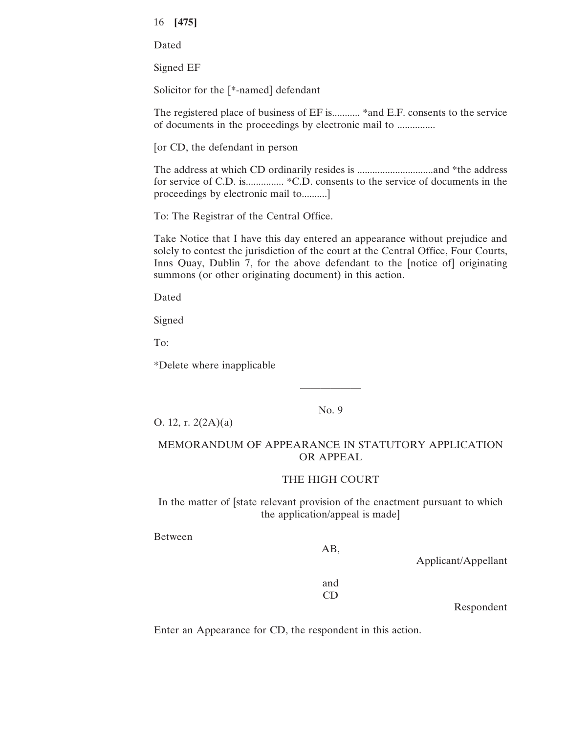Dated

Signed EF

Solicitor for the [\*-named] defendant

The registered place of business of EF is........... \*and E.F. consents to the service of documents in the proceedings by electronic mail to ...............

[or CD, the defendant in person

The address at which CD ordinarily resides is ..............................and \*the address for service of C.D. is............... \*C.D. consents to the service of documents in the proceedings by electronic mail to..........]

To: The Registrar of the Central Office.

Take Notice that I have this day entered an appearance without prejudice and solely to contest the jurisdiction of the court at the Central Office, Four Courts, Inns Quay, Dublin 7, for the above defendant to the [notice of] originating summons (or other originating document) in this action.

Dated

Signed

To:

\*Delete where inapplicable

No. 9

——————

O. 12, r. 2(2A)(a)

## MEMORANDUM OF APPEARANCE IN STATUTORY APPLICATION OR APPEAL

### THE HIGH COURT

In the matter of [state relevant provision of the enactment pursuant to which the application/appeal is made]

Between

### AB,

Applicant/Appellant

and CD

Respondent

Enter an Appearance for CD, the respondent in this action.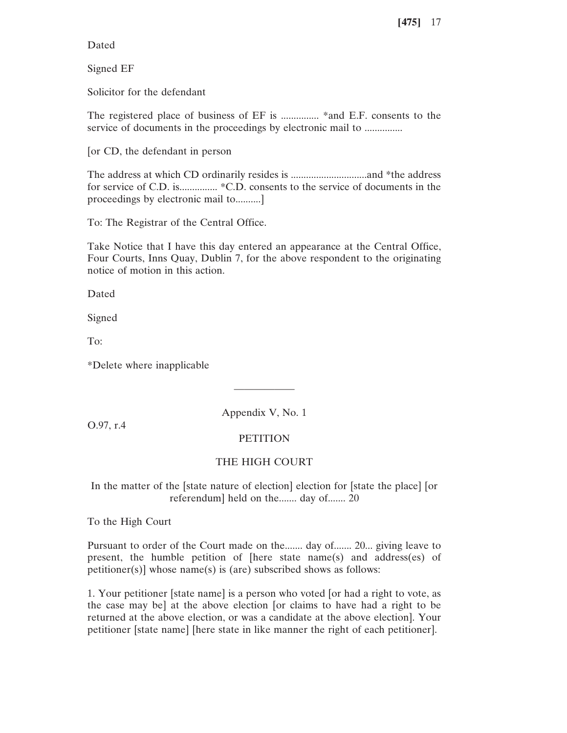Dated

Signed EF

Solicitor for the defendant

The registered place of business of EF is ............... \*and E.F. consents to the service of documents in the proceedings by electronic mail to ...................

[or CD, the defendant in person

The address at which CD ordinarily resides is ..............................and \*the address for service of C.D. is............... \*C.D. consents to the service of documents in the proceedings by electronic mail to..........]

To: The Registrar of the Central Office.

Take Notice that I have this day entered an appearance at the Central Office, Four Courts, Inns Quay, Dublin 7, for the above respondent to the originating notice of motion in this action.

Dated

Signed

To:

\*Delete where inapplicable

Appendix V, No. 1

——————

O.97, r.4

## PETITION

## THE HIGH COURT

## In the matter of the [state nature of election] election for [state the place] [or referendum] held on the....... day of....... 20

To the High Court

Pursuant to order of the Court made on the....... day of....... 20... giving leave to present, the humble petition of [here state name(s) and address(es) of petitioner(s)] whose name(s) is (are) subscribed shows as follows:

1. Your petitioner [state name] is a person who voted [or had a right to vote, as the case may be] at the above election [or claims to have had a right to be returned at the above election, or was a candidate at the above election]. Your petitioner [state name] [here state in like manner the right of each petitioner].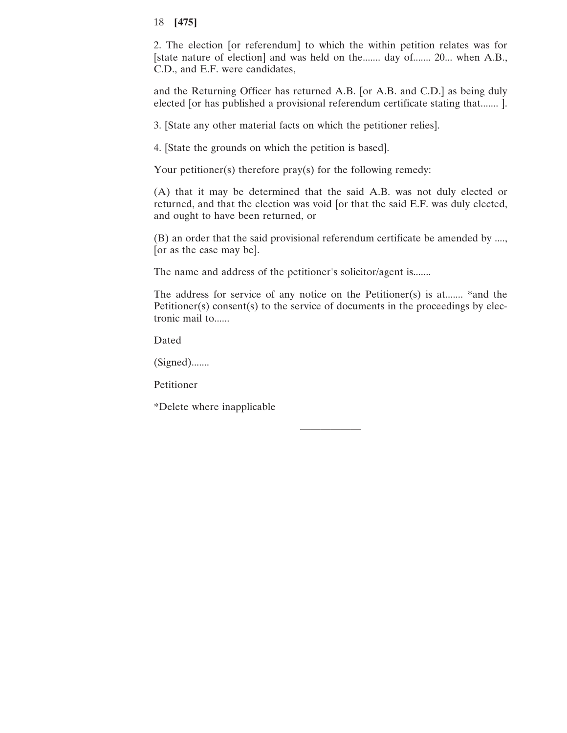2. The election [or referendum] to which the within petition relates was for [state nature of election] and was held on the....... day of....... 20... when A.B., C.D., and E.F. were candidates,

and the Returning Officer has returned A.B. [or A.B. and C.D.] as being duly elected [or has published a provisional referendum certificate stating that....... ].

3. [State any other material facts on which the petitioner relies].

4. [State the grounds on which the petition is based].

Your petitioner(s) therefore pray(s) for the following remedy:

(A) that it may be determined that the said A.B. was not duly elected or returned, and that the election was void [or that the said E.F. was duly elected, and ought to have been returned, or

(B) an order that the said provisional referendum certificate be amended by ...., [or as the case may be].

The name and address of the petitioner's solicitor/agent is.......

The address for service of any notice on the Petitioner(s) is at....... \*and the Petitioner(s) consent(s) to the service of documents in the proceedings by electronic mail to......

——————

Dated

(Signed).......

Petitioner

\*Delete where inapplicable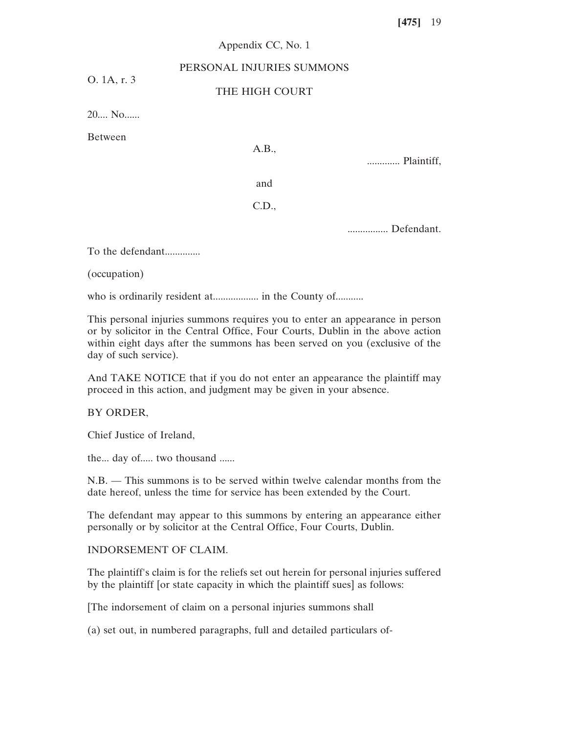## Appendix CC, No. 1

### PERSONAL INJURIES SUMMONS

## THE HIGH COURT

20.... No......

O. 1A, r. 3

Between

| A.B., |  |
|-------|--|
|-------|--|

............. Plaintiff,

and

C.D.,

................ Defendant.

To the defendant..............

(occupation)

who is ordinarily resident at.................. in the County of...........

This personal injuries summons requires you to enter an appearance in person or by solicitor in the Central Office, Four Courts, Dublin in the above action within eight days after the summons has been served on you (exclusive of the day of such service).

And TAKE NOTICE that if you do not enter an appearance the plaintiff may proceed in this action, and judgment may be given in your absence.

## BY ORDER,

Chief Justice of Ireland,

the... day of..... two thousand ......

N.B. — This summons is to be served within twelve calendar months from the date hereof, unless the time for service has been extended by the Court.

The defendant may appear to this summons by entering an appearance either personally or by solicitor at the Central Office, Four Courts, Dublin.

INDORSEMENT OF CLAIM.

The plaintiff's claim is for the reliefs set out herein for personal injuries suffered by the plaintiff [or state capacity in which the plaintiff sues] as follows:

[The indorsement of claim on a personal injuries summons shall

(a) set out, in numbered paragraphs, full and detailed particulars of-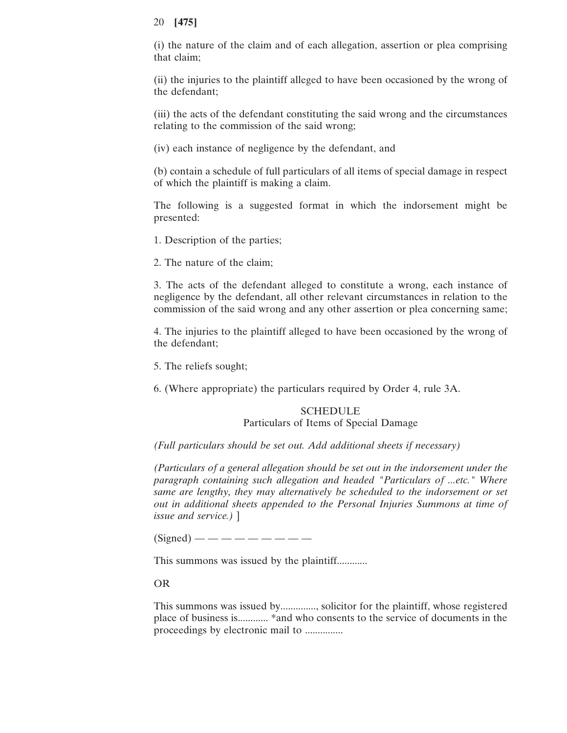(i) the nature of the claim and of each allegation, assertion or plea comprising that claim;

(ii) the injuries to the plaintiff alleged to have been occasioned by the wrong of the defendant;

(iii) the acts of the defendant constituting the said wrong and the circumstances relating to the commission of the said wrong;

(iv) each instance of negligence by the defendant, and

(b) contain a schedule of full particulars of all items of special damage in respect of which the plaintiff is making a claim.

The following is a suggested format in which the indorsement might be presented:

1. Description of the parties;

2. The nature of the claim;

3. The acts of the defendant alleged to constitute a wrong, each instance of negligence by the defendant, all other relevant circumstances in relation to the commission of the said wrong and any other assertion or plea concerning same;

4. The injuries to the plaintiff alleged to have been occasioned by the wrong of the defendant;

5. The reliefs sought;

6. (Where appropriate) the particulars required by Order 4, rule 3A.

# SCHEDULE

### Particulars of Items of Special Damage

*(Full particulars should be set out. Add additional sheets if necessary)*

*(Particulars of a general allegation should be set out in the indorsement under the paragraph containing such allegation and headed "Particulars of ...etc." Where same are lengthy, they may alternatively be scheduled to the indorsement or set out in additional sheets appended to the Personal Injuries Summons at time of issue and service.)* ]

 $(Signed)$  — — — — — — — — — —

This summons was issued by the plaintiff............

OR

This summons was issued by.............., solicitor for the plaintiff, whose registered place of business is............ \*and who consents to the service of documents in the proceedings by electronic mail to ...............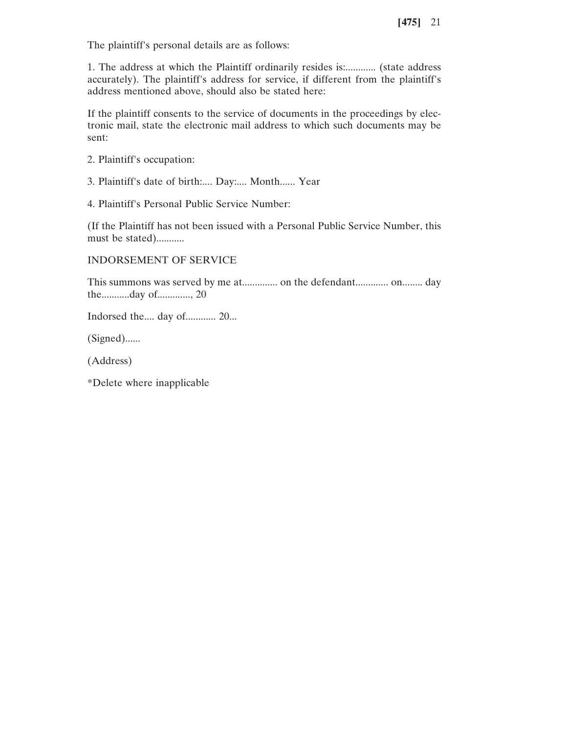The plaintiff's personal details are as follows:

1. The address at which the Plaintiff ordinarily resides is:............ (state address accurately). The plaintiff's address for service, if different from the plaintiff's address mentioned above, should also be stated here:

If the plaintiff consents to the service of documents in the proceedings by electronic mail, state the electronic mail address to which such documents may be sent:

- 2. Plaintiff's occupation:
- 3. Plaintiff's date of birth:.... Day:.... Month...... Year
- 4. Plaintiff's Personal Public Service Number:

(If the Plaintiff has not been issued with a Personal Public Service Number, this must be stated)...........

## INDORSEMENT OF SERVICE

This summons was served by me at.............. on the defendant............. on........ day the...........day of............., 20

Indorsed the.... day of............ 20...

(Signed)......

(Address)

\*Delete where inapplicable